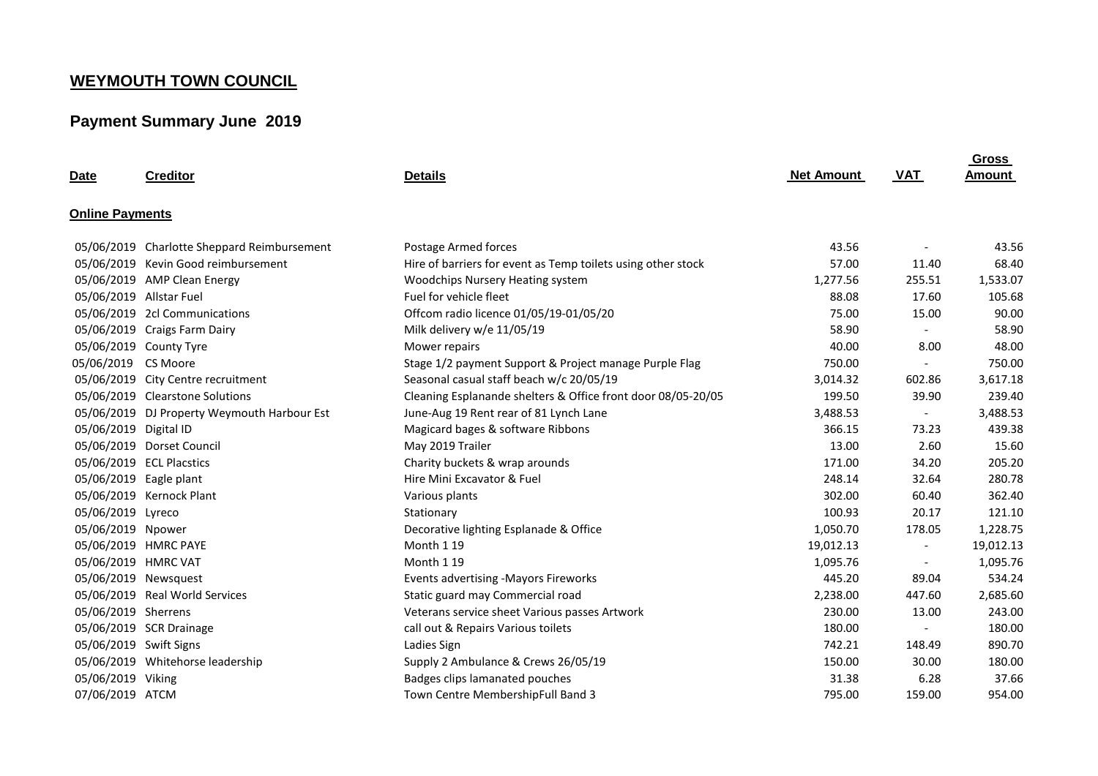## **WEYMOUTH TOWN COUNCIL**

## **Payment Summary June 2019**

| <b>Date</b>             | <b>Creditor</b>                             | <b>Details</b>                                               | <b>Net Amount</b> | VAT                      | Gross<br>Amount |
|-------------------------|---------------------------------------------|--------------------------------------------------------------|-------------------|--------------------------|-----------------|
| <b>Online Payments</b>  |                                             |                                                              |                   |                          |                 |
|                         | 05/06/2019 Charlotte Sheppard Reimbursement | Postage Armed forces                                         | 43.56             |                          | 43.56           |
|                         | 05/06/2019 Kevin Good reimbursement         | Hire of barriers for event as Temp toilets using other stock | 57.00             | 11.40                    | 68.40           |
|                         | 05/06/2019 AMP Clean Energy                 | Woodchips Nursery Heating system                             | 1,277.56          | 255.51                   | 1,533.07        |
| 05/06/2019 Allstar Fuel |                                             | Fuel for vehicle fleet                                       | 88.08             | 17.60                    | 105.68          |
|                         | 05/06/2019 2cl Communications               | Offcom radio licence 01/05/19-01/05/20                       | 75.00             | 15.00                    | 90.00           |
|                         | 05/06/2019 Craigs Farm Dairy                | Milk delivery w/e 11/05/19                                   | 58.90             | $\overline{\phantom{a}}$ | 58.90           |
|                         | 05/06/2019 County Tyre                      | Mower repairs                                                | 40.00             | 8.00                     | 48.00           |
| 05/06/2019 CS Moore     |                                             | Stage 1/2 payment Support & Project manage Purple Flag       | 750.00            | $\sim$                   | 750.00          |
|                         | 05/06/2019 City Centre recruitment          | Seasonal casual staff beach w/c 20/05/19                     | 3,014.32          | 602.86                   | 3,617.18        |
|                         | 05/06/2019 Clearstone Solutions             | Cleaning Esplanande shelters & Office front door 08/05-20/05 | 199.50            | 39.90                    | 239.40          |
|                         | 05/06/2019 DJ Property Weymouth Harbour Est | June-Aug 19 Rent rear of 81 Lynch Lane                       | 3,488.53          | $\overline{\phantom{a}}$ | 3,488.53        |
| 05/06/2019 Digital ID   |                                             | Magicard bages & software Ribbons                            | 366.15            | 73.23                    | 439.38          |
|                         | 05/06/2019 Dorset Council                   | May 2019 Trailer                                             | 13.00             | 2.60                     | 15.60           |
|                         | 05/06/2019 ECL Placstics                    | Charity buckets & wrap arounds                               | 171.00            | 34.20                    | 205.20          |
|                         | 05/06/2019 Eagle plant                      | Hire Mini Excavator & Fuel                                   | 248.14            | 32.64                    | 280.78          |
|                         | 05/06/2019 Kernock Plant                    | Various plants                                               | 302.00            | 60.40                    | 362.40          |
| 05/06/2019 Lyreco       |                                             | Stationary                                                   | 100.93            | 20.17                    | 121.10          |
| 05/06/2019 Npower       |                                             | Decorative lighting Esplanade & Office                       | 1,050.70          | 178.05                   | 1,228.75        |
|                         | 05/06/2019 HMRC PAYE                        | Month 1 19                                                   | 19,012.13         | $\overline{\phantom{a}}$ | 19,012.13       |
| 05/06/2019 HMRC VAT     |                                             | Month 1 19                                                   | 1,095.76          | $\overline{\phantom{a}}$ | 1,095.76        |
|                         | 05/06/2019 Newsquest                        | Events advertising -Mayors Fireworks                         | 445.20            | 89.04                    | 534.24          |
|                         | 05/06/2019 Real World Services              | Static guard may Commercial road                             | 2,238.00          | 447.60                   | 2,685.60        |
| 05/06/2019 Sherrens     |                                             | Veterans service sheet Various passes Artwork                | 230.00            | 13.00                    | 243.00          |
|                         | 05/06/2019 SCR Drainage                     | call out & Repairs Various toilets                           | 180.00            | $\overline{\phantom{a}}$ | 180.00          |
| 05/06/2019 Swift Signs  |                                             | Ladies Sign                                                  | 742.21            | 148.49                   | 890.70          |
|                         | 05/06/2019 Whitehorse leadership            | Supply 2 Ambulance & Crews 26/05/19                          | 150.00            | 30.00                    | 180.00          |
| 05/06/2019 Viking       |                                             | Badges clips lamanated pouches                               | 31.38             | 6.28                     | 37.66           |
| 07/06/2019 ATCM         |                                             | Town Centre MembershipFull Band 3                            | 795.00            | 159.00                   | 954.00          |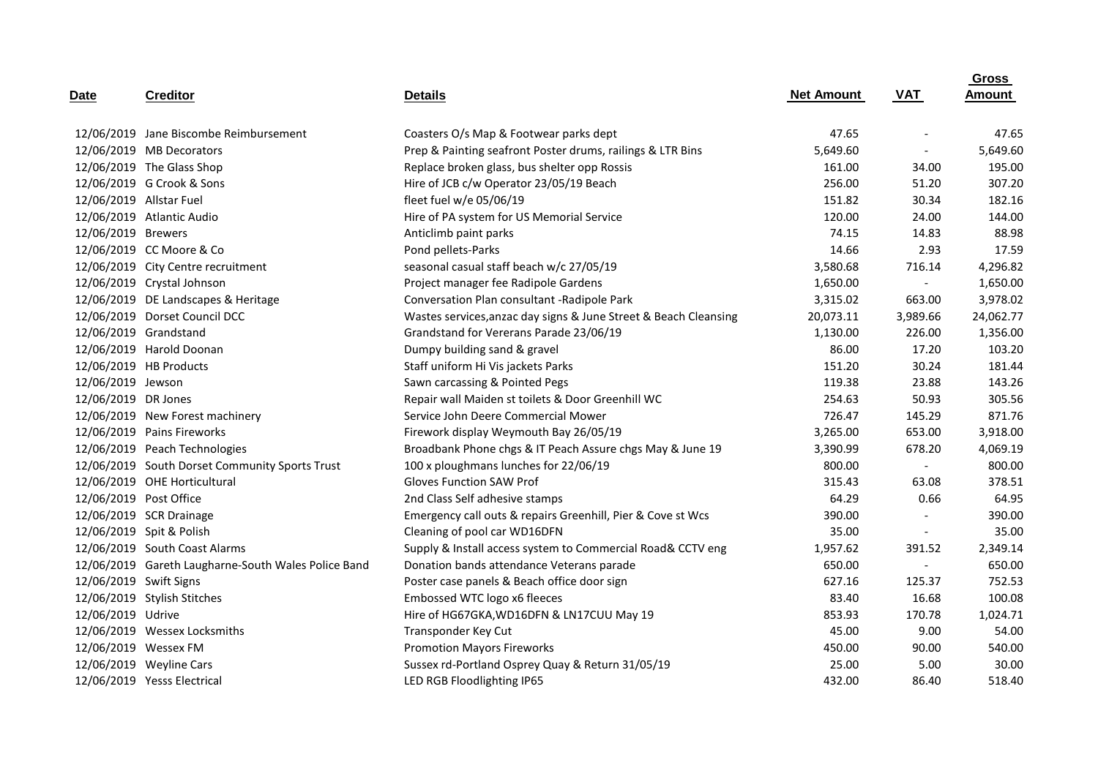|                         |                                                     |                                                                  |                   |                          | <b>Gross</b> |  |
|-------------------------|-----------------------------------------------------|------------------------------------------------------------------|-------------------|--------------------------|--------------|--|
| <u>Date</u>             | <b>Creditor</b>                                     | <b>Details</b>                                                   | <b>Net Amount</b> | <b>VAT</b>               | Amount       |  |
|                         | 12/06/2019 Jane Biscombe Reimbursement              | Coasters O/s Map & Footwear parks dept                           | 47.65             | $\overline{\phantom{a}}$ | 47.65        |  |
|                         | 12/06/2019 MB Decorators                            | Prep & Painting seafront Poster drums, railings & LTR Bins       | 5,649.60          | $\overline{\phantom{a}}$ | 5,649.60     |  |
|                         | 12/06/2019 The Glass Shop                           | Replace broken glass, bus shelter opp Rossis                     | 161.00            | 34.00                    | 195.00       |  |
|                         | 12/06/2019 G Crook & Sons                           | Hire of JCB c/w Operator 23/05/19 Beach                          | 256.00            | 51.20                    | 307.20       |  |
| 12/06/2019 Allstar Fuel |                                                     | fleet fuel w/e 05/06/19                                          | 151.82            | 30.34                    | 182.16       |  |
|                         | 12/06/2019 Atlantic Audio                           | Hire of PA system for US Memorial Service                        | 120.00            | 24.00                    | 144.00       |  |
| 12/06/2019 Brewers      |                                                     | Anticlimb paint parks                                            | 74.15             | 14.83                    | 88.98        |  |
|                         | 12/06/2019 CC Moore & Co                            | Pond pellets-Parks                                               | 14.66             | 2.93                     | 17.59        |  |
|                         | 12/06/2019 City Centre recruitment                  | seasonal casual staff beach w/c 27/05/19                         | 3,580.68          | 716.14                   | 4,296.82     |  |
|                         | 12/06/2019 Crystal Johnson                          | Project manager fee Radipole Gardens                             | 1,650.00          | $\overline{\phantom{a}}$ | 1,650.00     |  |
|                         | 12/06/2019 DE Landscapes & Heritage                 | Conversation Plan consultant -Radipole Park                      | 3,315.02          | 663.00                   | 3,978.02     |  |
|                         | 12/06/2019 Dorset Council DCC                       | Wastes services, anzac day signs & June Street & Beach Cleansing | 20,073.11         | 3,989.66                 | 24,062.77    |  |
|                         | 12/06/2019 Grandstand                               | Grandstand for Vererans Parade 23/06/19                          | 1,130.00          | 226.00                   | 1,356.00     |  |
|                         | 12/06/2019 Harold Doonan                            | Dumpy building sand & gravel                                     | 86.00             | 17.20                    | 103.20       |  |
|                         | 12/06/2019 HB Products                              | Staff uniform Hi Vis jackets Parks                               | 151.20            | 30.24                    | 181.44       |  |
| 12/06/2019 Jewson       |                                                     | Sawn carcassing & Pointed Pegs                                   | 119.38            | 23.88                    | 143.26       |  |
| 12/06/2019 DR Jones     |                                                     | Repair wall Maiden st toilets & Door Greenhill WC                | 254.63            | 50.93                    | 305.56       |  |
|                         | 12/06/2019 New Forest machinery                     | Service John Deere Commercial Mower                              | 726.47            | 145.29                   | 871.76       |  |
|                         | 12/06/2019 Pains Fireworks                          | Firework display Weymouth Bay 26/05/19                           | 3,265.00          | 653.00                   | 3,918.00     |  |
|                         | 12/06/2019 Peach Technologies                       | Broadbank Phone chgs & IT Peach Assure chgs May & June 19        | 3,390.99          | 678.20                   | 4,069.19     |  |
|                         | 12/06/2019 South Dorset Community Sports Trust      | 100 x ploughmans lunches for 22/06/19                            | 800.00            | $\overline{\phantom{a}}$ | 800.00       |  |
|                         | 12/06/2019 OHE Horticultural                        | <b>Gloves Function SAW Prof</b>                                  | 315.43            | 63.08                    | 378.51       |  |
| 12/06/2019 Post Office  |                                                     | 2nd Class Self adhesive stamps                                   | 64.29             | 0.66                     | 64.95        |  |
|                         | 12/06/2019 SCR Drainage                             | Emergency call outs & repairs Greenhill, Pier & Cove st Wcs      | 390.00            | $\overline{\phantom{a}}$ | 390.00       |  |
|                         | 12/06/2019 Spit & Polish                            | Cleaning of pool car WD16DFN                                     | 35.00             | $\overline{\phantom{a}}$ | 35.00        |  |
|                         | 12/06/2019 South Coast Alarms                       | Supply & Install access system to Commercial Road& CCTV eng      | 1,957.62          | 391.52                   | 2,349.14     |  |
|                         | 12/06/2019 Gareth Laugharne-South Wales Police Band | Donation bands attendance Veterans parade                        | 650.00            | $\overline{\phantom{a}}$ | 650.00       |  |
| 12/06/2019 Swift Signs  |                                                     | Poster case panels & Beach office door sign                      | 627.16            | 125.37                   | 752.53       |  |
|                         | 12/06/2019 Stylish Stitches                         | Embossed WTC logo x6 fleeces                                     | 83.40             | 16.68                    | 100.08       |  |
| 12/06/2019 Udrive       |                                                     | Hire of HG67GKA, WD16DFN & LN17CUU May 19                        | 853.93            | 170.78                   | 1,024.71     |  |
|                         | 12/06/2019 Wessex Locksmiths                        | Transponder Key Cut                                              | 45.00             | 9.00                     | 54.00        |  |
|                         | 12/06/2019 Wessex FM                                | <b>Promotion Mayors Fireworks</b>                                | 450.00            | 90.00                    | 540.00       |  |
|                         | 12/06/2019 Weyline Cars                             | Sussex rd-Portland Osprey Quay & Return 31/05/19                 | 25.00             | 5.00                     | 30.00        |  |
|                         | 12/06/2019 Yesss Electrical                         | LED RGB Floodlighting IP65                                       | 432.00            | 86.40                    | 518.40       |  |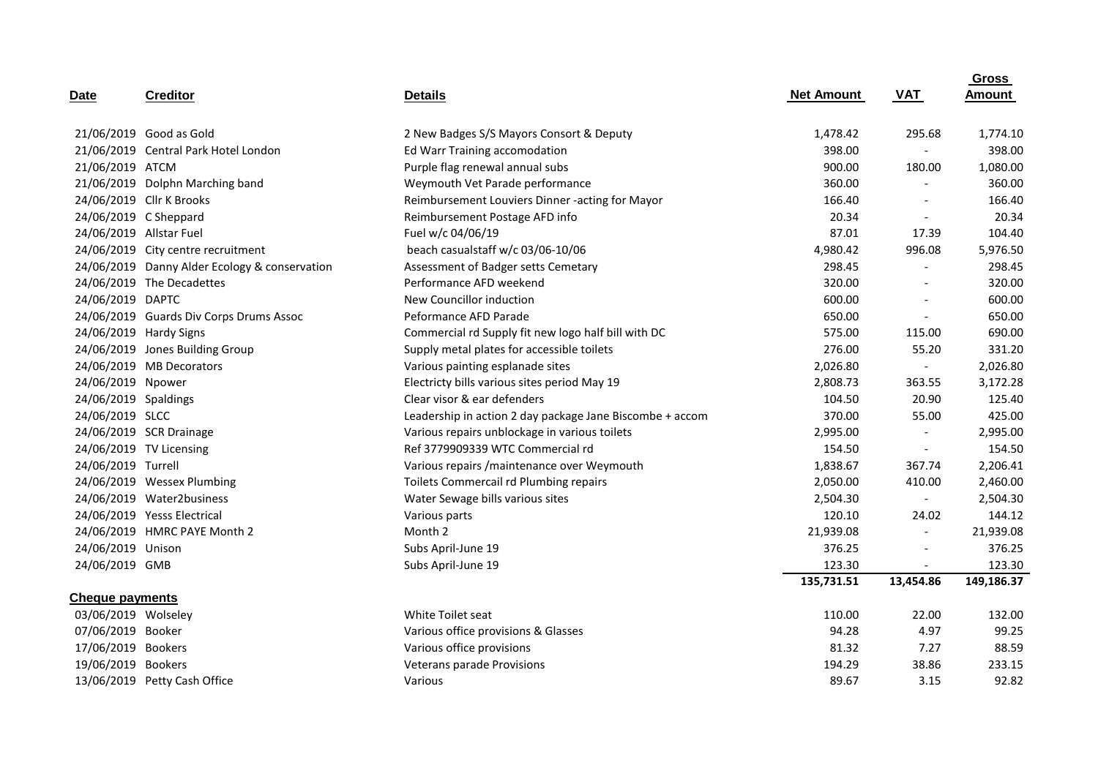| Date                    | <b>Creditor</b>                               | <b>Details</b>                                           | <b>Net Amount</b> | <b>VAT</b>               | <b>Gross</b><br><b>Amount</b> |
|-------------------------|-----------------------------------------------|----------------------------------------------------------|-------------------|--------------------------|-------------------------------|
|                         |                                               |                                                          |                   |                          |                               |
|                         | 21/06/2019 Good as Gold                       | 2 New Badges S/S Mayors Consort & Deputy                 | 1,478.42          | 295.68                   | 1,774.10                      |
|                         | 21/06/2019 Central Park Hotel London          | Ed Warr Training accomodation                            | 398.00            |                          | 398.00                        |
| 21/06/2019 ATCM         |                                               | Purple flag renewal annual subs                          | 900.00            | 180.00                   | 1,080.00                      |
|                         | 21/06/2019 Dolphn Marching band               | Weymouth Vet Parade performance                          | 360.00            | $\overline{\phantom{a}}$ | 360.00                        |
|                         | 24/06/2019 Cllr K Brooks                      | Reimbursement Louviers Dinner -acting for Mayor          | 166.40            | $\overline{\phantom{a}}$ | 166.40                        |
| 24/06/2019 C Sheppard   |                                               | Reimbursement Postage AFD info                           | 20.34             | $\overline{\phantom{a}}$ | 20.34                         |
| 24/06/2019 Allstar Fuel |                                               | Fuel w/c 04/06/19                                        | 87.01             | 17.39                    | 104.40                        |
|                         | 24/06/2019 City centre recruitment            | beach casualstaff w/c 03/06-10/06                        | 4,980.42          | 996.08                   | 5,976.50                      |
|                         | 24/06/2019 Danny Alder Ecology & conservation | Assessment of Badger setts Cemetary                      | 298.45            | $\overline{\phantom{a}}$ | 298.45                        |
|                         | 24/06/2019 The Decadettes                     | Performance AFD weekend                                  | 320.00            | $\overline{a}$           | 320.00                        |
| 24/06/2019 DAPTC        |                                               | New Councillor induction                                 | 600.00            | $\overline{a}$           | 600.00                        |
|                         | 24/06/2019 Guards Div Corps Drums Assoc       | Peformance AFD Parade                                    | 650.00            | $\sim$                   | 650.00                        |
|                         | 24/06/2019 Hardy Signs                        | Commercial rd Supply fit new logo half bill with DC      | 575.00            | 115.00                   | 690.00                        |
|                         | 24/06/2019 Jones Building Group               | Supply metal plates for accessible toilets               | 276.00            | 55.20                    | 331.20                        |
|                         | 24/06/2019 MB Decorators                      | Various painting esplanade sites                         | 2,026.80          | $\overline{\phantom{a}}$ | 2,026.80                      |
| 24/06/2019 Npower       |                                               | Electricty bills various sites period May 19             | 2,808.73          | 363.55                   | 3,172.28                      |
| 24/06/2019 Spaldings    |                                               | Clear visor & ear defenders                              | 104.50            | 20.90                    | 125.40                        |
| 24/06/2019 SLCC         |                                               | Leadership in action 2 day package Jane Biscombe + accom | 370.00            | 55.00                    | 425.00                        |
|                         | 24/06/2019 SCR Drainage                       | Various repairs unblockage in various toilets            | 2,995.00          | $\overline{\phantom{a}}$ | 2,995.00                      |
|                         | 24/06/2019 TV Licensing                       | Ref 3779909339 WTC Commercial rd                         | 154.50            | $\blacksquare$           | 154.50                        |
| 24/06/2019 Turrell      |                                               | Various repairs / maintenance over Weymouth              | 1,838.67          | 367.74                   | 2,206.41                      |
|                         | 24/06/2019 Wessex Plumbing                    | Toilets Commercail rd Plumbing repairs                   | 2,050.00          | 410.00                   | 2,460.00                      |
|                         | 24/06/2019 Water2business                     | 2,504.30<br>Water Sewage bills various sites             |                   | $\sim$                   | 2,504.30                      |
|                         | 24/06/2019 Yesss Electrical                   | Various parts                                            | 120.10            | 24.02                    | 144.12                        |
|                         | 24/06/2019 HMRC PAYE Month 2                  | Month 2                                                  | 21,939.08         | $\overline{\phantom{a}}$ | 21,939.08                     |
| 24/06/2019 Unison       |                                               | Subs April-June 19                                       | 376.25            | $\overline{\phantom{a}}$ | 376.25                        |
| 24/06/2019 GMB          |                                               | Subs April-June 19                                       | 123.30            | $\overline{\phantom{a}}$ | 123.30                        |
|                         |                                               |                                                          | 135,731.51        | 13,454.86                | 149,186.37                    |
| <b>Cheque payments</b>  |                                               |                                                          |                   |                          |                               |
| 03/06/2019 Wolseley     |                                               | White Toilet seat                                        | 110.00            | 22.00                    | 132.00                        |
| 07/06/2019 Booker       |                                               | Various office provisions & Glasses                      | 94.28             | 4.97                     | 99.25                         |
| 17/06/2019 Bookers      |                                               | Various office provisions                                | 81.32             | 7.27                     | 88.59                         |
| 19/06/2019 Bookers      |                                               | <b>Veterans parade Provisions</b>                        | 194.29            | 38.86                    | 233.15                        |
|                         | 13/06/2019 Petty Cash Office                  | Various                                                  | 89.67             | 3.15                     | 92.82                         |